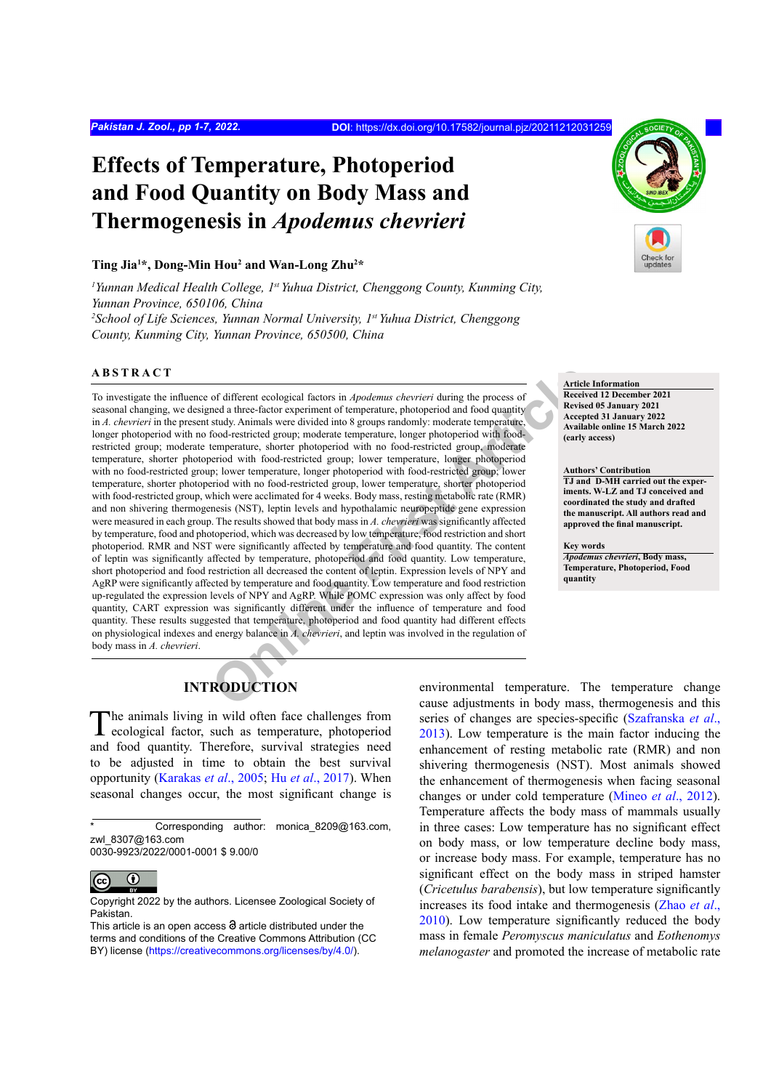# **Effects of Temperature, Photoperiod and Food Quantity on Body Mass and Thermogenesis in** *Apodemus chevrieri*

#### **Ting Jia1 \*, Dong-Min Hou2 and Wan-Long Zhu2 \***

<sup>1</sup> Yunnan Medical Health College, 1<sup>st</sup> Yuhua District, Chenggong County, Kunming City, *Yunnan Province, 650106, China* <sup>2</sup> School of Life Sciences, Yunnan Normal University, 1st Yuhua District, Chenggong *County, Kunming City, Yunnan Province, 650500, China*

#### **ABSTRACT**

or different ecological factors in *Apodemus chevrieri* during the process of<br>
ned a three-factor experiment of temperature, photopriod and food quantity<br>
study. Animals were divided into 8 groups randomly: moderate temper To investigate the influence of different ecological factors in *Apodemus chevrieri* during the process of seasonal changing, we designed a three-factor experiment of temperature, photoperiod and food quantity in *A. chevrieri* in the present study. Animals were divided into 8 groups randomly: moderate temperature, longer photoperiod with no food-restricted group; moderate temperature, longer photoperiod with foodrestricted group; moderate temperature, shorter photoperiod with no food-restricted group, moderate temperature, shorter photoperiod with food-restricted group; lower temperature, longer photoperiod with no food-restricted group; lower temperature, longer photoperiod with food-restricted group; lower temperature, shorter photoperiod with no food-restricted group, lower temperature, shorter photoperiod with food-restricted group, which were acclimated for 4 weeks. Body mass, resting metabolic rate (RMR) and non shivering thermogenesis (NST), leptin levels and hypothalamic neuropeptide gene expression were measured in each group. The results showed that body mass in *A. chevrieri* was significantly affected by temperature, food and photoperiod, which was decreased by low temperature, food restriction and short photoperiod. RMR and NST were significantly affected by temperature and food quantity. The content of leptin was significantly affected by temperature, photoperiod and food quantity. Low temperature, short photoperiod and food restriction all decreased the content of leptin. Expression levels of NPY and AgRP were significantly affected by temperature and food quantity. Low temperature and food restriction up-regulated the expression levels of NPY and AgRP. While POMC expression was only affect by food quantity, CART expression was significantly different under the influence of temperature and food quantity. These results suggested that temperature, photoperiod and food quantity had different effects on physiological indexes and energy balance in *A. chevrieri*, and leptin was involved in the regulation of body mass in *A. chevrieri*.



**Article Information Received 12 December 2021 Revised 05 January 2021 Accepted 31 January 2022 Available online 15 March 2022 (early access)**

**Authors' Contribution TJ and D-MH carried out the experiments. W-LZ and TJ conceived and coordinated the study and drafted the manuscript. All authors read and approved the final manuscript.**

**Key words** *Apodemus chevrieri***, Body mass, Temperature, Photoperiod, Food quantity**

# **INTRODUCTION**

The animals living in wild often face challenges from ecological factor, such as temperature, photoperiod and food quantity. Therefore, survival strategies need to be adjusted in time to obtain the best survival opportunity (Karakas *et al*., 2005; Hu *et al*[., 2017\)](#page-4-0). When seasonal changes occur, the most significant change is

environmental temperature. The temperature change cause adjustments in body mass, thermogenesis and this series of changes are species-specific ([Szafranska](#page-5-0) *et al*., [2013\)](#page-5-0). Low temperature is the main factor inducing the enhancement of resting metabolic rate (RMR) and non shivering thermogenesis (NST). Most animals showed the enhancement of thermogenesis when facing seasonal changes or under cold temperature ([Mineo](#page-5-1) *et al*., 2012). Temperature affects the body mass of mammals usually in three cases: Low temperature has no significant effect on body mass, or low temperature decline body mass, or increase body mass. For example, temperature has no significant effect on the body mass in striped hamster (*Cricetulus barabensis*), but low temperature significantly increases its food intake and thermogenesis ([Zhao](#page-6-0) *et al*., [2010\)](#page-6-0). Low temperature significantly reduced the body mass in female *Peromyscus maniculatus* and *Eothenomys melanogaster* and promoted the increase of metabolic rate

Corresponding author: monica\_8209@163.com, zwl\_8307@163.com 0030-9923/2022/0001-0001 \$ 9.00/0

 $\odot$  $|_{\rm (cc)}$ 

Copyright 2022 by the authors. Licensee Zoological Society of Pakistan.

This article is an open access  $\Theta$  article distributed under the terms and conditions of the Creative Commons Attribution (CC BY) license (https://creativecommons.org/licenses/by/4.0/).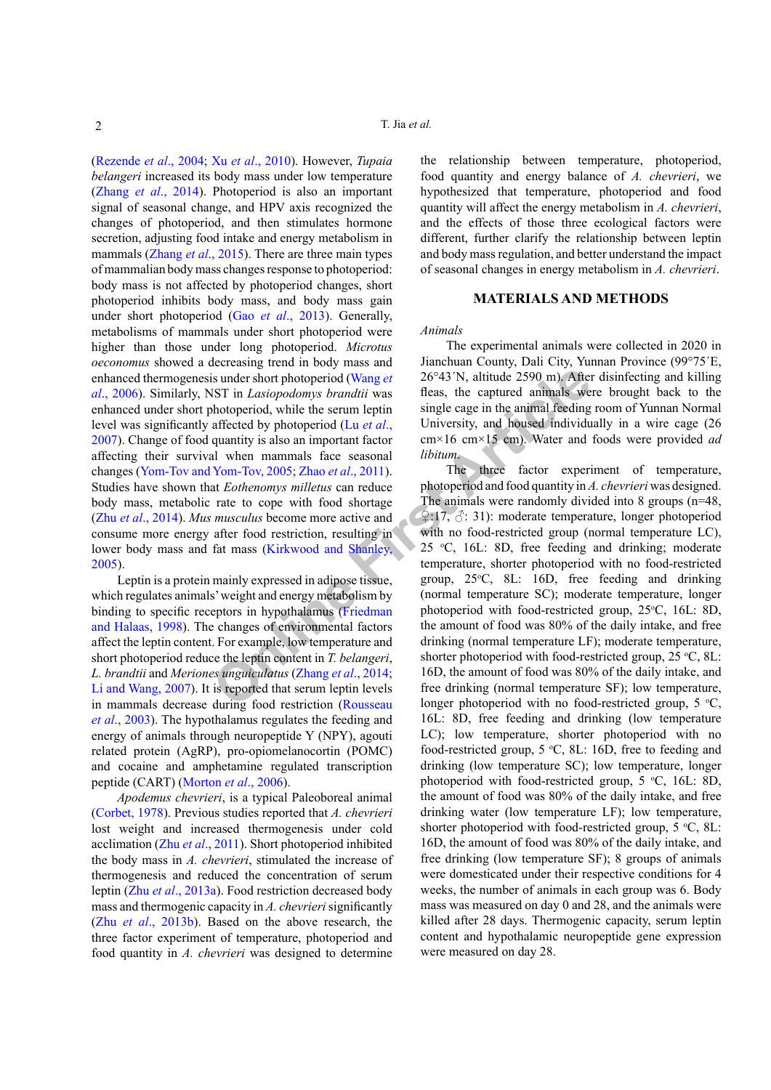[\(Rezende](#page-5-2) *et al*., 2004; Xu *et al*[., 2010\)](#page-5-3). However, *Tupaia belangeri* increased its body mass under low temperature (Zhang *et al*[., 2014\)](#page-6-1). Photoperiod is also an important signal of seasonal change, and HPV axis recognized the changes of photoperiod, and then stimulates hormone secretion, adjusting food intake and energy metabolism in mammals ([Zhang](#page-6-2) *et al*., 2015). There are three main types of mammalian body mass changes response to photoperiod: body mass is not affected by photoperiod changes, short photoperiod inhibits body mass, and body mass gain under short photoperiod (Gao *et al*[., 2013](#page-4-1)). Generally, metabolisms of mammals under short photoperiod were higher than those under long photoperiod. *Microtus oeconomus* showed a decreasing trend in body mass and enhanced thermogenesis under short photoperiod (Wang *et al*[., 2006\)](#page-5-4). Similarly, NST in *Lasiopodomys brandtii* was enhanced under short photoperiod, while the serum leptin level was significantly affected by photoperiod (Lu *et al*., [2007\)](#page-5-5). Change of food quantity is also an important factor affecting their survival when mammals face seasonal changes [\(Yom-Tov and Yom-Tov, 2005;](#page-5-6) Zhao *et al*., 2011). Studies have shown that *Eothenomys milletus* can reduce body mass, metabolic rate to cope with food shortage (Zhu *et al*[., 2014\)](#page-6-3). *Mus musculus* become more active and consume more energy after food restriction, resulting in lower body mass and fat mass (Kirkwood and Shanley, [2005\)](#page-5-7).

Leptin is a protein mainly expressed in adipose tissue, which regulates animals' weight and energy metabolism by binding to specific receptors in hypothalamus (Friedman [and Halaas, 1998](#page-4-2)). The changes of environmental factors affect the leptin content. For example, low temperature and short photoperiod reduce the leptin content in *T. belangeri*, *L. brandtii* and *Meriones unguiculatus* (Zhang *et al*., 2014; [Li and Wang, 2007](#page-5-8)). It is reported that serum leptin levels in mammals decrease during food restriction (Rousseau *et al*[., 2003](#page-5-9)). The hypothalamus regulates the feeding and energy of animals through neuropeptide Y (NPY), agouti related protein (AgRP), pro-opiomelanocortin (POMC) and cocaine and amphetamine regulated transcription peptide (CART) [\(Morton](#page-5-10) *et al*., 2006).

*Apodemus chevrieri*, is a typical Paleoboreal animal [\(Corbet, 1978](#page-4-3)). Previous studies reported that *A. chevrieri* lost weight and increased thermogenesis under cold acclimation (Zhu *et al*[., 2011](#page-6-4)). Short photoperiod inhibited the body mass in *A. chevrieri*, stimulated the increase of thermogenesis and reduced the concentration of serum leptin (Zhu *et al*[., 2013a](#page-6-5)). Food restriction decreased body mass and thermogenic capacity in *A. chevrieri* significantly (Zhu *et al*[., 2013b\)](#page-6-6). Based on the above research, the three factor experiment of temperature, photoperiod and food quantity in *A. chevrieri* was designed to determine

the relationship between temperature, photoperiod, food quantity and energy balance of *A. chevrieri*, we hypothesized that temperature, photoperiod and food quantity will affect the energy metabolism in *A. chevrieri*, and the effects of those three ecological factors were different, further clarify the relationship between leptin and body mass regulation, and better understand the impact of seasonal changes in energy metabolism in *A. chevrieri*.

# **MATERIALS AND METHODS**

#### *Animals*

The experimental animals were collected in 2020 in Jianchuan County, Dali City, Yunnan Province (99°75´E, 26°43´N, altitude 2590 m). After disinfecting and killing fleas, the captured animals were brought back to the single cage in the animal feeding room of Yunnan Normal University, and housed individually in a wire cage (26 cm×16 cm×15 cm). Water and foods were provided *ad libitum*.

**EXECUTE:**<br> **EXECUTE:**<br> **EXECUTE:**<br> **EXECUTE:**<br> **EXECUTE:**<br> **EXECUTE:**<br> **EXECUTE:**<br> **ONEXELATE:**<br> **EXECUTE:**<br> **ONEXELATE:**<br> **ONEXELATE:**<br> **ONEXELATE:**<br> **CONFIGUATE:**<br> **EXECUTE:**<br> **EXECUTE:**<br> **EXECUTE:**<br> **EXECUTE:**<br> **EXECU** The three factor experiment of temperature, photoperiod and food quantity in *A. chevrieri* was designed. The animals were randomly divided into 8 groups (n=48, ♀:17, ♂: 31): moderate temperature, longer photoperiod with no food-restricted group (normal temperature LC), 25 °C, 16L: 8D, free feeding and drinking; moderate temperature, shorter photoperiod with no food-restricted group, 25°C, 8L: 16D, free feeding and drinking (normal temperature SC); moderate temperature, longer photoperiod with food-restricted group, 25°C, 16L: 8D, the amount of food was 80% of the daily intake, and free drinking (normal temperature LF); moderate temperature, shorter photoperiod with food-restricted group,  $25 \text{ °C}$ , 8L: 16D, the amount of food was 80% of the daily intake, and free drinking (normal temperature SF); low temperature, longer photoperiod with no food-restricted group,  $5 °C$ , 16L: 8D, free feeding and drinking (low temperature LC); low temperature, shorter photoperiod with no food-restricted group,  $5 \text{ °C}$ , 8L: 16D, free to feeding and drinking (low temperature SC); low temperature, longer photoperiod with food-restricted group,  $5 °C$ ,  $16L$ :  $8D$ , the amount of food was 80% of the daily intake, and free drinking water (low temperature LF); low temperature, shorter photoperiod with food-restricted group,  $5 \text{ }^{\circ}C$ , 8L: 16D, the amount of food was 80% of the daily intake, and free drinking (low temperature SF); 8 groups of animals were domesticated under their respective conditions for 4 weeks, the number of animals in each group was 6. Body mass was measured on day 0 and 28, and the animals were killed after 28 days. Thermogenic capacity, serum leptin content and hypothalamic neuropeptide gene expression were measured on day 28.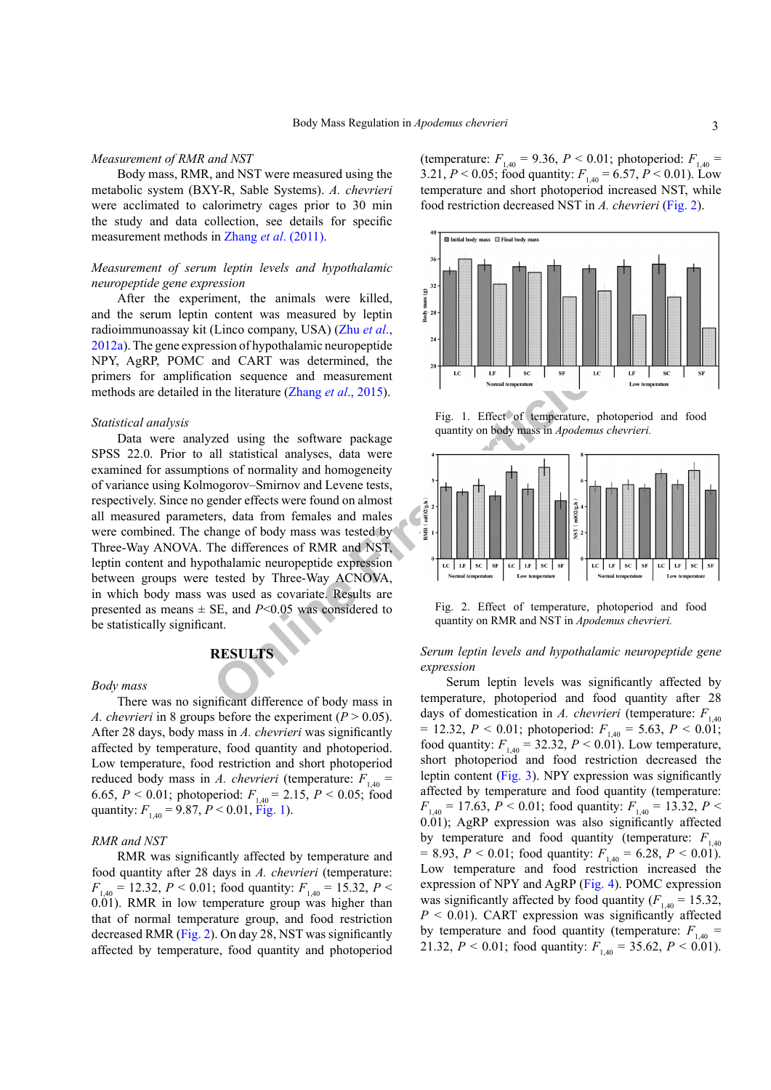#### *Measurement of RMR and NST*

Body mass, RMR, and NST were measured using the metabolic system (BXY-R, Sable Systems). *A. chevrieri* were acclimated to calorimetry cages prior to 30 min the study and data collection, see details for specific measurement methods in Zhang *et al*[. \(2011\)](#page-6-7).

# *Measurement of serum leptin levels and hypothalamic neuropeptide gene expression*

After the experiment, the animals were killed, and the serum leptin content was measured by leptin radioimmunoassay kit (Linco company, USA) ([Zhu](#page-6-8) *et al*., [2012a](#page-6-8)). The gene expression of hypothalamic neuropeptide NPY, AgRP, POMC and CART was determined, the primers for amplification sequence and measurement methods are detailed in the literature (Zhang *et al*., 2015).

#### *Statistical analysis*

tion sequence and measurement<br>
the literature (Zhang *et al.*, 2015).<br>
Fig. 1. Effect of temperature,<br>
zed using the software package<br>
all statistical analyses, data were<br>
ons of normality and homogeneity<br>
nogorov–Smirnov Data were analyzed using the software package SPSS 22.0. Prior to all statistical analyses, data were examined for assumptions of normality and homogeneity of variance using Kolmogorov–Smirnov and Levene tests, respectively. Since no gender effects were found on almost all measured parameters, data from females and males were combined. The change of body mass was tested by Three-Way ANOVA. The differences of RMR and NST, leptin content and hypothalamic neuropeptide expression between groups were tested by Three-Way ACNOVA, in which body mass was used as covariate. Results are presented as means  $\pm$  SE, and *P*<0.05 was considered to be statistically significant.

### **RESULTS**

#### *Body mass*

There was no significant difference of body mass in *A. chevrieri* in 8 groups before the experiment ( $P > 0.05$ ). After 28 days, body mass in *A. chevrieri* was significantly affected by temperature, food quantity and photoperiod. Low temperature, food restriction and short photoperiod reduced body mass in *A. chevrieri* (temperature:  $F_{1,40}$  = 6.65,  $P < 0.01$ ; photoperiod:  $F_{1,40} = 2.15$ ,  $P < 0.05$ ; food quantity:  $F_{1,40} = 9.87, P < 0.01,$  [Fig. 1\)](#page-2-0).

#### *RMR and NST*

RMR was significantly affected by temperature and food quantity after 28 days in *A. chevrieri* (temperature:  $F_{1,40} = 12.32, P \le 0.01$ ; food quantity:  $F_{1,40} = 15.32, P \le$ 0.01). RMR in low temperature group was higher than that of normal temperature group, and food restriction decreased RMR ([Fig. 2](#page-2-1)). On day 28, NST was significantly affected by temperature, food quantity and photoperiod (temperature:  $F_{1,40} = 9.36$ ,  $P < 0.01$ ; photoperiod:  $F_{1,40} =$ 3.21,  $P < 0.05$ ; food quantity:  $F_{1,40} = 6.57$ ,  $P < 0.01$ ). Low temperature and short photoperiod increased NST, while food restriction decreased NST in *A. chevrieri* [\(Fig. 2](#page-2-1)).



<span id="page-2-0"></span>Fig. 1. Effect of temperature, photoperiod and food quantity on body mass in *Apodemus chevrieri.*



<span id="page-2-1"></span>Fig. 2. Effect of temperature, photoperiod and food quantity on RMR and NST in *Apodemus chevrieri.*

# *Serum leptin levels and hypothalamic neuropeptide gene expression*

Serum leptin levels was significantly affected by temperature, photoperiod and food quantity after 28 days of domestication in *A. chevrieri* (temperature:  $F_{140}$  $= 12.32, P < 0.01$ ; photoperiod:  $F_{140} = 5.63, P < 0.01$ ; food quantity:  $F_{1,40} = 32.32, P \le 0.01$ ). Low temperature, short photoperiod and food restriction decreased the leptin content ([Fig. 3\)](#page-3-0). NPY expression was significantly affected by temperature and food quantity (temperature:  $F_{1,40} = 17.63$ ,  $P < 0.01$ ; food quantity:  $F_{1,40} = 13.32$ ,  $P <$ 0.01); AgRP expression was also significantly affected by temperature and food quantity (temperature:  $F_{1,40}$  $= 8.93, P < 0.01$ ; food quantity:  $F_{140} = 6.28, P < 0.01$ ). Low temperature and food restriction increased the expression of NPY and AgRP ([Fig. 4\)](#page-3-1). POMC expression was significantly affected by food quantity  $(F_{1,40} = 15.32)$ ,  $P < 0.01$ ). CART expression was significantly affected by temperature and food quantity (temperature:  $F_{1,40}$  = 21.32,  $P < 0.01$ ; food quantity:  $F_{1,40} = 35.62$ ,  $P < 0.01$ .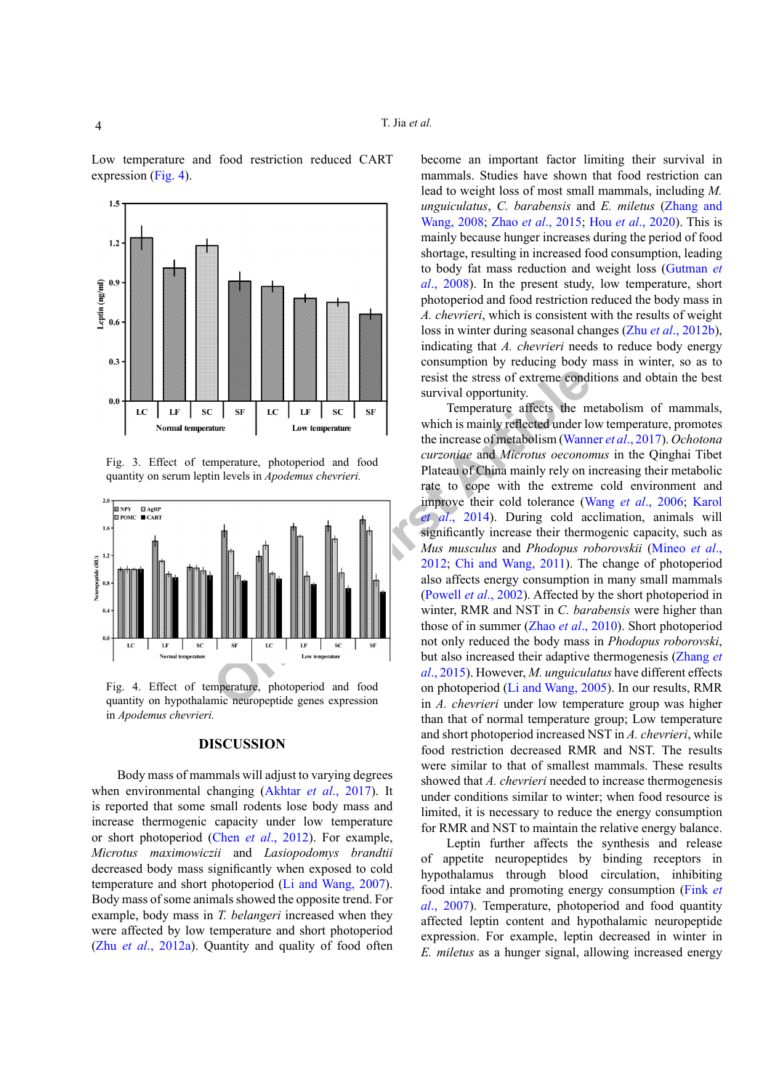Low temperature and food restriction reduced CART expression [\(Fig. 4\)](#page-3-1).



<span id="page-3-0"></span>Fig. 3. Effect of temperature, photoperiod and food quantity on serum leptin levels in *Apodemus chevrieri.*



<span id="page-3-1"></span>Fig. 4. Effect of temperature, photoperiod and food quantity on hypothalamic neuropeptide genes expression in *Apodemus chevrieri.*

#### **DISCUSSION**

Body mass of mammals will adjust to varying degrees when environmental changing (Akhtar *et al*., 2017). It is reported that some small rodents lose body mass and increase thermogenic capacity under low temperature or short photoperiod (Chen *et al*[., 2012](#page-4-4)). For example, *Microtus maximowiczii* and *Lasiopodomys brandtii*  decreased body mass significantly when exposed to cold temperature and short photoperiod [\(Li and Wang, 2007\)](#page-5-8). Body mass of some animals showed the opposite trend. For example, body mass in *T. belangeri* increased when they were affected by low temperature and short photoperiod (Zhu *et al*[., 2012a](#page-6-8)). Quantity and quality of food often become an important factor limiting their survival in mammals. Studies have shown that food restriction can lead to weight loss of most small mammals, including *M. unguiculatus*, *C. barabensis* and *E. miletus* ([Zhang and](#page-5-11)  [Wang, 2008;](#page-5-11) Zhao *et al*[., 2015](#page-6-9); Hou *et al*[., 2020\)](#page-4-5). This is mainly because hunger increases during the period of food shortage, resulting in increased food consumption, leading to body fat mass reduction and weight loss [\(Gutman](#page-4-6) *et al*[., 2008](#page-4-6)). In the present study, low temperature, short photoperiod and food restriction reduced the body mass in *A. chevrieri*, which is consistent with the results of weight loss in winter during seasonal changes (Zhu *et al*[., 2012b](#page-6-10)), indicating that *A. chevrieri* needs to reduce body energy consumption by reducing body mass in winter, so as to resist the stress of extreme conditions and obtain the best survival opportunity.

Figure 11 and Water the Stress of extreme condition of the control of the control of the interest of the interest of the interest of the interest of the interest of the interest of the interest of the interest of the inter Temperature affects the metabolism of mammals, which is mainly reflected under low temperature, promotes the increase of metabolism [\(Wanner](#page-5-12) *et al*., 2017). *Ochotona curzoniae* and *Microtus oeconomus* in the Qinghai Tibet Plateau of China mainly rely on increasing their metabolic rate to cope with the extreme cold environment and improve their cold tolerance (Wang *et al*[., 2006;](#page-5-4) Karol *et al*., 2014). During cold acclimation, animals will significantly increase their thermogenic capacity, such as *Mus musculus* and *Phodopus roborovskii* [\(Mineo](#page-5-1) *et al*., 2012; Chi and Wang, 2011). The change of photoperiod also affects energy consumption in many small mammals (Powell *et al*., 2002). Affected by the short photoperiod in winter, RMR and NST in *C. barabensis* were higher than those of in summer (Zhao *et al*., 2010). Short photoperiod not only reduced the body mass in *Phodopus roborovski*, but also increased their adaptive thermogenesis ([Zhang](#page-6-2) *et al*., 2015). However, *M. unguiculatus* have different effects on photoperiod (Li and Wang, 2005). In our results, RMR in *A. chevrieri* under low temperature group was higher than that of normal temperature group; Low temperature and short photoperiod increased NST in *A. chevrieri*, while food restriction decreased RMR and NST. The results were similar to that of smallest mammals. These results showed that *A. chevrieri* needed to increase thermogenesis under conditions similar to winter; when food resource is limited, it is necessary to reduce the energy consumption for RMR and NST to maintain the relative energy balance.

> Leptin further affects the synthesis and release of appetite neuropeptides by binding receptors in hypothalamus through blood circulation, inhibiting food intake and promoting energy consumption ([Fink](#page-4-8) *et al*[., 2007\)](#page-4-8). Temperature, photoperiod and food quantity affected leptin content and hypothalamic neuropeptide expression. For example, leptin decreased in winter in *E. miletus* as a hunger signal, allowing increased energy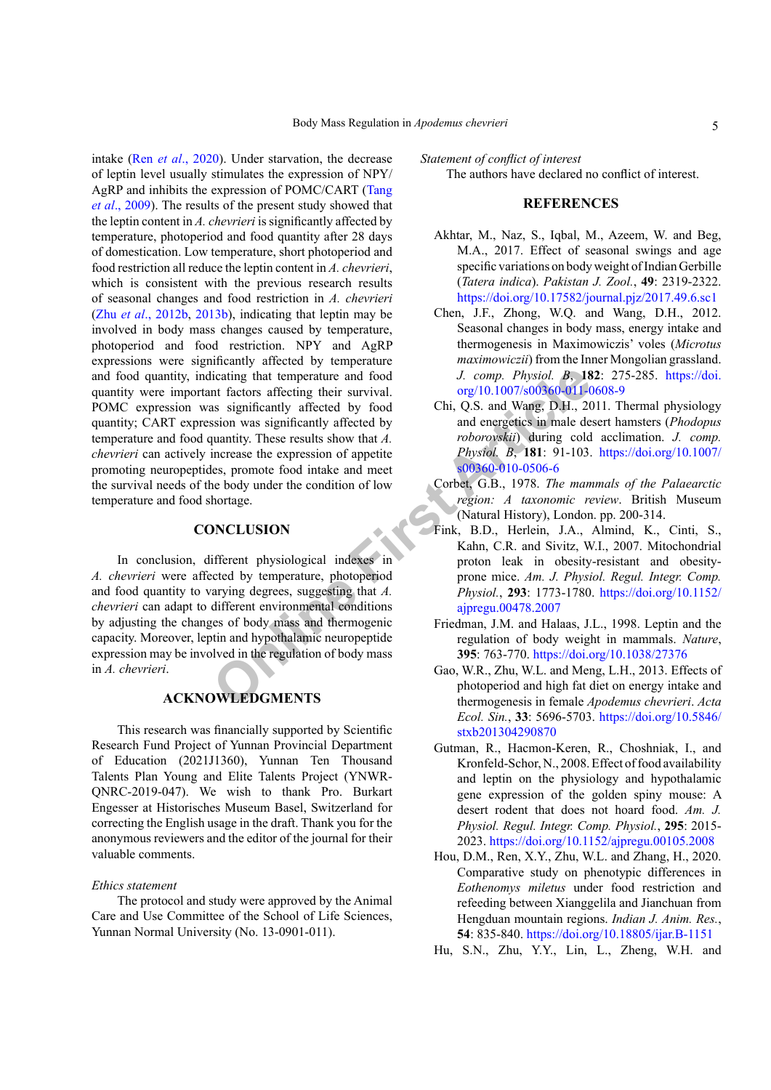comparison of the regulation of body mass significantly affecting their survival.<br>
In factors affecting their survival. The comparison of the Chi, Q.S. and Wang, D.H., 20<br>
significantly affected by food<br>
uniting cold chi, intake (Ren *et al*[., 2020](#page-5-15)). Under starvation, the decrease of leptin level usually stimulates the expression of NPY/ AgRP and inhibits the expression of POMC/CART ([Tang](#page-5-16) *et al*[., 2009](#page-5-16)). The results of the present study showed that the leptin content in *A. chevrieri* is significantly affected by temperature, photoperiod and food quantity after 28 days of domestication. Low temperature, short photoperiod and food restriction all reduce the leptin content in *A. chevrieri*, which is consistent with the previous research results of seasonal changes and food restriction in *A. chevrieri* (Zhu *et al*[., 2012b](#page-6-10), [2013b](#page-6-6)), indicating that leptin may be involved in body mass changes caused by temperature, photoperiod and food restriction. NPY and AgRP expressions were significantly affected by temperature and food quantity, indicating that temperature and food quantity were important factors affecting their survival. POMC expression was significantly affected by food quantity; CART expression was significantly affected by temperature and food quantity. These results show that *A. chevrieri* can actively increase the expression of appetite promoting neuropeptides, promote food intake and meet the survival needs of the body under the condition of low temperature and food shortage.

### **CONCLUSION**

In conclusion, different physiological indexes in *A. chevrieri* were affected by temperature, photoperiod and food quantity to varying degrees, suggesting that *A. chevrieri* can adapt to different environmental conditions by adjusting the changes of body mass and thermogenic capacity. Moreover, leptin and hypothalamic neuropeptide expression may be involved in the regulation of body mass in *A. chevrieri*.

# **ACKNOWLEDGMENTS**

This research was financially supported by Scientific Research Fund Project of Yunnan Provincial Department of Education (2021J1360), Yunnan Ten Thousand Talents Plan Young and Elite Talents Project (YNWR-QNRC-2019-047). We wish to thank Pro. Burkart Engesser at Historisches Museum Basel, Switzerland for correcting the English usage in the draft. Thank you for the anonymous reviewers and the editor of the journal for their valuable comments.

## *Ethics statement*

The protocol and study were approved by the Animal Care and Use Committee of the School of Life Sciences, Yunnan Normal University (No. 13-0901-011).

*Statement of conflict of interest*

The authors have declared no conflict of interest.

# **REFERENCES**

- Akhtar, M., Naz, S., Iqbal, M., Azeem, W. and Beg, M.A., 2017. Effect of seasonal swings and age specific variations on body weight of Indian Gerbille (*Tatera indica*). *Pakistan J. Zool.*, **49**: 2319-2322. <https://doi.org/10.17582/journal.pjz/2017.49.6.sc1>
- <span id="page-4-4"></span>Chen, J.F., Zhong, W.Q. and Wang, D.H., 2012. Seasonal changes in body mass, energy intake and thermogenesis in Maximowiczis' voles (*Microtus maximowiczii*) from the Inner Mongolian grassland. *J. comp. Physiol. B*, **182**: 275-285. [https://doi.](https://doi.org/10.1007/s00360-011-0608-9) org/10.1007/s00360-011-0608-9
- <span id="page-4-7"></span>Chi, Q.S. and Wang, D.H., 2011. Thermal physiology and energetics in male desert hamsters (*Phodopus roborovskii*) during cold acclimation. *J. comp. Physiol. B*, **181**: 91-103. [https://doi.org/10.1007/](https://doi.org/10.1007/s00360-010-0506-6) s00360-010-0506-6
- <span id="page-4-3"></span>Corbet, G.B., 1978. *The mammals of the Palaearctic region: A taxonomic review*. British Museum (Natural History), London. pp. 200-314.
- <span id="page-4-8"></span>Fink, B.D., Herlein, J.A., Almind, K., Cinti, S., Kahn, C.R. and Sivitz, W.I., 2007. Mitochondrial proton leak in obesity-resistant and obesityprone mice. *Am. J. Physiol. Regul. Integr. Comp. Physiol.*, **293**: 1773-1780. [https://doi.org/10.1152/](https://doi.org/10.1152/ajpregu.00478.2007) ajpregu.00478.2007
- <span id="page-4-2"></span>Friedman, J.M. and Halaas, J.L., 1998. Leptin and the regulation of body weight in mammals. *Nature*, **395**: 763-770. <https://doi.org/10.1038/27376>
- <span id="page-4-1"></span>Gao, W.R., Zhu, W.L. and Meng, L.H., 2013. Effects of photoperiod and high fat diet on energy intake and thermogenesis in female *Apodemus chevrieri*. *Acta Ecol. Sin.*, **33**: 5696-5703. [https://doi.org/10.5846/](https://doi.org/10.5846/stxb201304290870) [stxb201304290870](https://doi.org/10.5846/stxb201304290870)
- <span id="page-4-6"></span>Gutman, R., Hacmon-Keren, R., Choshniak, I., and Kronfeld-Schor, N., 2008. Effect of food availability and leptin on the physiology and hypothalamic gene expression of the golden spiny mouse: A desert rodent that does not hoard food. *Am. J. Physiol. Regul. Integr. Comp. Physiol.*, **295**: 2015- 2023.<https://doi.org/10.1152/ajpregu.00105.2008>
- <span id="page-4-5"></span>Hou, D.M., Ren, X.Y., Zhu, W.L. and Zhang, H., 2020. Comparative study on phenotypic differences in *Eothenomys miletus* under food restriction and refeeding between Xianggelila and Jianchuan from Hengduan mountain regions. *Indian J. Anim. Res.*, **54**: 835-840. <https://doi.org/10.18805/ijar.B-1151>
- <span id="page-4-0"></span>Hu, S.N., Zhu, Y.Y., Lin, L., Zheng, W.H. and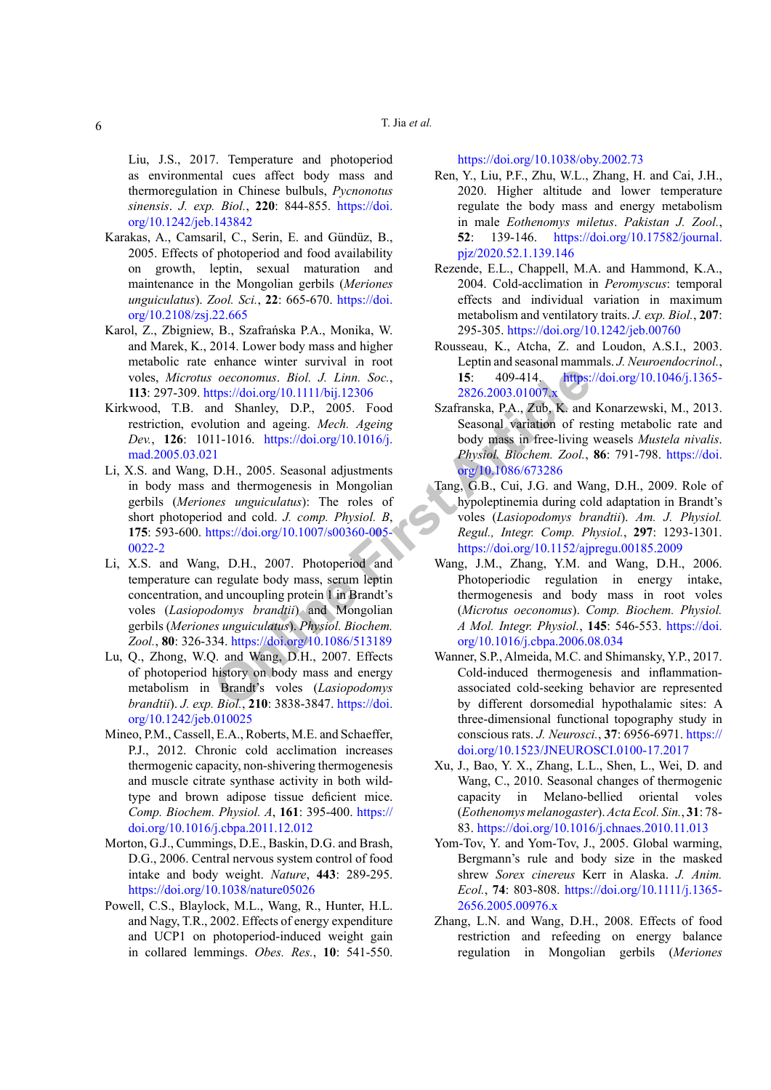Liu, J.S., 2017. Temperature and photoperiod as environmental cues affect body mass and thermoregulation in Chinese bulbuls, *Pycnonotus sinensis*. *J. exp. Biol.*, **220**: 844-855. [https://doi.](https://doi.org/10.1242/jeb.143842) [org/10.1242/jeb.143842](https://doi.org/10.1242/jeb.143842)

- Karakas, A., Camsaril, C., Serin, E. and Gündüz, B., 2005. Effects of photoperiod and food availability on growth, leptin, sexual maturation and maintenance in the Mongolian gerbils (*Meriones unguiculatus*). *Zool. Sci.*, **22**: 665-670. [https://doi.](https://doi.org/10.2108/zsj.22.665) [org/10.2108/zsj.22.665](https://doi.org/10.2108/zsj.22.665)
- Karol, Z., Zbigniew, B., Szafrańska P.A., Monika, W. and Marek, K., 2014. Lower body mass and higher metabolic rate enhance winter survival in root voles, *Microtus oeconomus*. *Biol. J. Linn. Soc.*, **113**: 297-309. https://doi.org/10.1111/bij.12306
- <span id="page-5-14"></span><span id="page-5-7"></span>Kirkwood, T.B. and Shanley, D.P., 2005. Food restriction, evolution and ageing. *Mech. Ageing Dev.*, **126**: 1011-1016. https://doi.org/10.1016/j. [mad.2005.03.021](https://doi.org/10.1016/j.mad.2005.03.021)
- Comomus. Biol. J. Linn. Soc.,<br> **Comomus.** Biol. J. Linn. Soc.,<br>
Interperiodio.org/10.1111/bij.12306<br>
18. 2826.2003.01007x<br>
2826.2003.01007x<br>
2826.2003.01007x<br>
2826.2003.01007x<br>
2826.2003.01007x<br>
2826.2003.01007x<br>
2826.2003 Li, X.S. and Wang, D.H., 2005. Seasonal adjustments in body mass and thermogenesis in Mongolian gerbils (*Meriones unguiculatus*): The roles of short photoperiod and cold. *J. comp. Physiol. B*, **175**: 593-600. https://doi.org/10.1007/s00360-005- [0022-2](https://doi.org/10.1007/s00360-005-0022-2)
- <span id="page-5-8"></span>Li, X.S. and Wang, D.H., 2007. Photoperiod and temperature can regulate body mass, serum leptin concentration, and uncoupling protein 1 in Brandt's voles (*Lasiopodomys brandtii*) and Mongolian gerbils (*Meriones unguiculatus*). *Physiol. Biochem. Zool.*, **80**: 326-334. https://doi.org/10.1086/513189
- <span id="page-5-5"></span>Lu, Q., Zhong, W.Q. and Wang, D.H., 2007. Effects of photoperiod history on body mass and energy metabolism in Brandt's voles (*Lasiopodomys brandtii*). *J. exp. Biol.*, **210**: 3838-3847. https://doi. [org/10.1242/jeb.010025](https://doi.org/10.1242/jeb.010025)
- <span id="page-5-1"></span>Mineo, P.M., Cassell, E.A., Roberts, M.E. and Schaeffer, P.J., 2012. Chronic cold acclimation increases thermogenic capacity, non-shivering thermogenesis and muscle citrate synthase activity in both wildtype and brown adipose tissue deficient mice. *Comp. Biochem. Physiol. A*, **161**: 395-400. [https://](https://doi.org/10.1016/j.cbpa.2011.12.012) [doi.org/10.1016/j.cbpa.2011.12.012](https://doi.org/10.1016/j.cbpa.2011.12.012)
- <span id="page-5-10"></span>Morton, G.J., Cummings, D.E., Baskin, D.G. and Brash, D.G., 2006. Central nervous system control of food intake and body weight. *Nature*, **443**: 289-295. <https://doi.org/10.1038/nature05026>
- <span id="page-5-13"></span>Powell, C.S., Blaylock, M.L., Wang, R., Hunter, H.L. and Nagy, T.R., 2002. Effects of energy expenditure and UCP1 on photoperiod-induced weight gain in collared lemmings. *Obes. Res.*, **10**: 541-550.

<https://doi.org/10.1038/oby.2002.73>

- <span id="page-5-15"></span>Ren, Y., Liu, P.F., Zhu, W.L., Zhang, H. and Cai, J.H., 2020. Higher altitude and lower temperature regulate the body mass and energy metabolism in male *Eothenomys miletus*. *Pakistan J. Zool.*, **52**: 139-146. [https://doi.org/10.17582/journal.](https://doi.org/10.17582/journal.pjz/2020.52.1.139.146) [pjz/2020.52.1.139.146](https://doi.org/10.17582/journal.pjz/2020.52.1.139.146)
- <span id="page-5-2"></span>Rezende, E.L., Chappell, M.A. and Hammond, K.A., 2004. Cold-acclimation in *Peromyscus*: temporal effects and individual variation in maximum metabolism and ventilatory traits. *J. exp. Biol.*, **207**: 295-305. <https://doi.org/10.1242/jeb.00760>
- <span id="page-5-9"></span>Rousseau, K., Atcha, Z. and Loudon, A.S.I., 2003. Leptin and seasonal mammals. *J. Neuroendocrinol.*, **15**: 409-414. [https://doi.org/10.1046/j.1365-](https://doi.org/10.1046/j.1365-2826.2003.01007.x) 2826.2003.01007.x
- <span id="page-5-0"></span>Szafranska, P.A., Zub, K. and Konarzewski, M., 2013. Seasonal variation of resting metabolic rate and body mass in free-living weasels *Mustela nivalis*. *Physiol. Biochem. Zool.*, **86**: 791-798. [https://doi.](https://doi.org/10.1086/673286) org/10.1086/673286
- <span id="page-5-16"></span>Tang, G.B., Cui, J.G. and Wang, D.H., 2009. Role of hypoleptinemia during cold adaptation in Brandt's voles (*Lasiopodomys brandtii*). *Am. J. Physiol. Regul., Integr. Comp. Physiol.*, **297**: 1293-1301. <https://doi.org/10.1152/ajpregu.00185.2009>
- <span id="page-5-4"></span>Wang, J.M., Zhang, Y.M. and Wang, D.H., 2006. Photoperiodic regulation in energy intake, thermogenesis and body mass in root voles (*Microtus oeconomus*). *Comp. Biochem. Physiol. A Mol. Integr. Physiol.*, **145**: 546-553. [https://doi.](https://doi.org/10.1016/j.cbpa.2006.08.034) org/10.1016/j.cbpa.2006.08.034
- <span id="page-5-12"></span>Wanner, S.P., Almeida, M.C. and Shimansky, Y.P., 2017. Cold-induced thermogenesis and inflammationassociated cold-seeking behavior are represented by different dorsomedial hypothalamic sites: A three-dimensional functional topography study in conscious rats. *J. Neurosci.*, **37**: 6956-6971. [https://](https://doi.org/10.1523/JNEUROSCI.0100-17.2017) [doi.org/10.1523/JNEUROSCI.0100-17.2017](https://doi.org/10.1523/JNEUROSCI.0100-17.2017)
- <span id="page-5-3"></span>Xu, J., Bao, Y. X., Zhang, L.L., Shen, L., Wei, D. and Wang, C., 2010. Seasonal changes of thermogenic capacity in Melano-bellied oriental voles (*Eothenomys melanogaster*). *Acta Ecol. Sin.*, **31**: 78- 83.<https://doi.org/10.1016/j.chnaes.2010.11.013>
- <span id="page-5-6"></span>Yom-Tov, Y. and Yom-Tov, J., 2005. Global warming, Bergmann's rule and body size in the masked shrew *Sorex cinereus* Kerr in Alaska. *J. Anim. Ecol.*, **74**: 803-808. [https://doi.org/10.1111/j.1365-](https://doi.org/10.1111/j.1365-2656.2005.00976.x) [2656.2005.00976.x](https://doi.org/10.1111/j.1365-2656.2005.00976.x)
- <span id="page-5-11"></span>Zhang, L.N. and Wang, D.H., 2008. Effects of food restriction and refeeding on energy balance regulation in Mongolian gerbils (*Meriones*